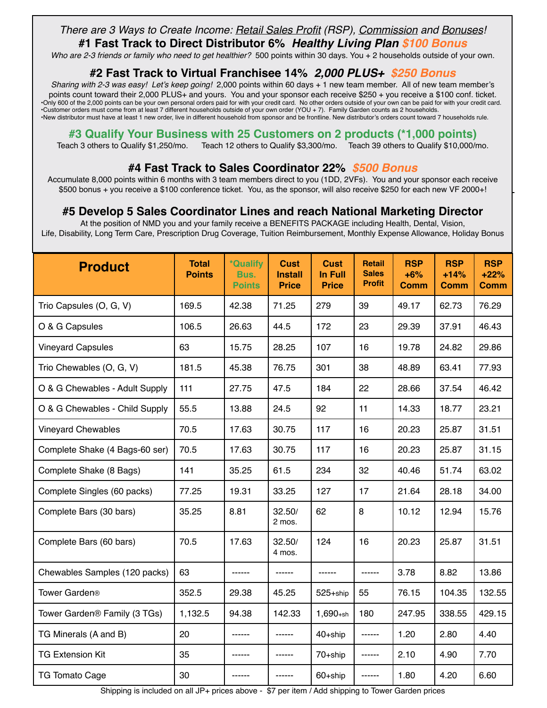### *There are 3 Ways to Create Income: Retail Sales Profit (RSP), Commission and Bonuses!*

**#1 Fast Track to Direct Distributor 6%** *Healthy Living Plan \$100 Bonus*

*Who are 2-3 friends or family who need to get healthier?* 500 points within 30 days. You + 2 households outside of your own.

#### **#2 Fast Track to Virtual Franchisee 14%** *2,000 PLUS+ \$250 Bonus*

*Sharing with 2-3 was easy! Let's keep going!* 2,000 points within 60 days + 1 new team member. All of new team member's points count toward their 2,000 PLUS+ and yours. You and your sponsor each receive \$250 + you receive a \$100 conf. ticket. •Only 600 of the 2,000 points can be your own personal orders paid for with your credit card. No other orders outside of your own can be paid for with your credit card. •Customer orders must come from at least 7 different households outside of your own order (YOU + 7). Family Garden counts as 2 households. •New distributor must have at least 1 new order, live in different household from sponsor and be frontline. New distributor's orders count toward 7 households rule.

#### **#3 Qualify Your Business with 25 Customers on 2 products (\*1,000 points)**

Teach 3 others to Qualify \$1,250/mo. Teach 12 others to Qualify \$3,300/mo. Teach 39 others to Qualify \$10,000/mo.

#### **#4 Fast Track to Sales Coordinator 22%** *\$500 Bonus*

Accumulate 8,000 points within 6 months with 3 team members direct to you (1DD, 2VFs). You and your sponsor each receive \$500 bonus + you receive a \$100 conference ticket. You, as the sponsor, will also receive \$250 for each new VF 2000+!

#### **#5 Develop 5 Sales Coordinator Lines and reach National Marketing Director**

At the position of NMD you and your family receive a BENEFITS PACKAGE including Health, Dental, Vision, Life, Disability, Long Term Care, Prescription Drug Coverage, Tuition Reimbursement, Monthly Expense Allowance, Holiday Bonus

| <b>Product</b>                           | <b>Total</b><br><b>Points</b> | *Qualify<br>Bus.<br><b>Points</b> | <b>Cust</b><br><b>Install</b><br><b>Price</b> | <b>Cust</b><br><b>In Full</b><br><b>Price</b> | <b>Retail</b><br><b>Sales</b><br><b>Profit</b> | <b>RSP</b><br>$+6%$<br>Comm | <b>RSP</b><br>$+14%$<br><b>Comm</b> | <b>RSP</b><br>$+22%$<br><b>Comm</b> |
|------------------------------------------|-------------------------------|-----------------------------------|-----------------------------------------------|-----------------------------------------------|------------------------------------------------|-----------------------------|-------------------------------------|-------------------------------------|
| Trio Capsules (O, G, V)                  | 169.5                         | 42.38                             | 71.25                                         | 279                                           | 39                                             | 49.17                       | 62.73                               | 76.29                               |
| O & G Capsules                           | 106.5                         | 26.63                             | 44.5                                          | 172                                           | 23                                             | 29.39                       | 37.91                               | 46.43                               |
| <b>Vineyard Capsules</b>                 | 63                            | 15.75                             | 28.25                                         | 107                                           | 16                                             | 19.78                       | 24.82                               | 29.86                               |
| Trio Chewables (O, G, V)                 | 181.5                         | 45.38                             | 76.75                                         | 301                                           | 38                                             | 48.89                       | 63.41                               | 77.93                               |
| O & G Chewables - Adult Supply           | 111                           | 27.75                             | 47.5                                          | 184                                           | 22                                             | 28.66                       | 37.54                               | 46.42                               |
| O & G Chewables - Child Supply           | 55.5                          | 13.88                             | 24.5                                          | 92                                            | 11                                             | 14.33                       | 18.77                               | 23.21                               |
| <b>Vineyard Chewables</b>                | 70.5                          | 17.63                             | 30.75                                         | 117                                           | 16                                             | 20.23                       | 25.87                               | 31.51                               |
| Complete Shake (4 Bags-60 ser)           | 70.5                          | 17.63                             | 30.75                                         | 117                                           | 16                                             | 20.23                       | 25.87                               | 31.15                               |
| Complete Shake (8 Bags)                  | 141                           | 35.25                             | 61.5                                          | 234                                           | 32                                             | 40.46                       | 51.74                               | 63.02                               |
| Complete Singles (60 packs)              | 77.25                         | 19.31                             | 33.25                                         | 127                                           | 17                                             | 21.64                       | 28.18                               | 34.00                               |
| Complete Bars (30 bars)                  | 35.25                         | 8.81                              | 32.50/<br>2 mos.                              | 62                                            | 8                                              | 10.12                       | 12.94                               | 15.76                               |
| Complete Bars (60 bars)                  | 70.5                          | 17.63                             | 32.50/<br>4 mos.                              | 124                                           | 16                                             | 20.23                       | 25.87                               | 31.51                               |
| Chewables Samples (120 packs)            | 63                            | ------                            | ------                                        | ------                                        | ------                                         | 3.78                        | 8.82                                | 13.86                               |
| Tower Garden <sup>®</sup>                | 352.5                         | 29.38                             | 45.25                                         | 525+ship                                      | 55                                             | 76.15                       | 104.35                              | 132.55                              |
| Tower Garden <sup>®</sup> Family (3 TGs) | 1,132.5                       | 94.38                             | 142.33                                        | $1,690+sh$                                    | 180                                            | 247.95                      | 338.55                              | 429.15                              |
| TG Minerals (A and B)                    | 20                            |                                   | ------                                        | 40+ship                                       | ------                                         | 1.20                        | 2.80                                | 4.40                                |
| <b>TG Extension Kit</b>                  | 35                            | ------                            | ------                                        | 70+ship                                       | ------                                         | 2.10                        | 4.90                                | 7.70                                |
| <b>TG Tomato Cage</b>                    | 30                            | ------                            | ------                                        | 60+ship                                       | ------                                         | 1.80                        | 4.20                                | 6.60                                |

Shipping is included on all JP+ prices above - \$7 per item / Add shipping to Tower Garden prices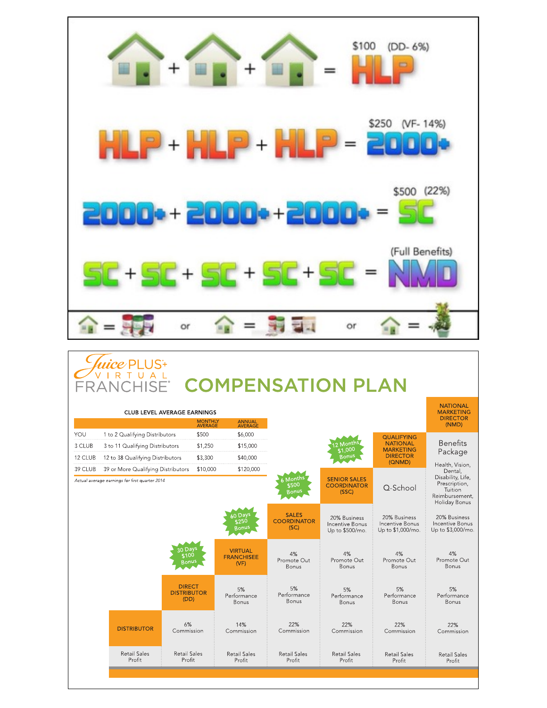

## *luice* PLUS<sup>+</sup> **CURRICAL COMPENSATION PLAN**

|         |                                                                                      | <b>CLUB LEVEL AVERAGE EARNINGS</b>          | <b>MONTHLY</b><br>AVERAGE | ANNUAL<br>AVERAGE                           |                                            |                                                           |                                                      | <b>NATIONAL</b><br><b>MARKETING</b><br><b>DIRECTOR</b><br>(NMD)                             |
|---------|--------------------------------------------------------------------------------------|---------------------------------------------|---------------------------|---------------------------------------------|--------------------------------------------|-----------------------------------------------------------|------------------------------------------------------|---------------------------------------------------------------------------------------------|
| YOU     | 1 to 2 Qualifying Distributors                                                       | \$500                                       |                           | \$6,000                                     |                                            |                                                           | <b>QUALIFYING</b>                                    |                                                                                             |
| 3 CLUB  | 3 to 11 Qualifying Distributors                                                      |                                             | \$1,250                   | \$15,000                                    |                                            | 2 Months<br>51,000                                        | <b>NATIONAL</b><br><b>MARKETING</b>                  | <b>Benefits</b><br>Package                                                                  |
| 12 CLUB | 12 to 38 Qualifying Distributors                                                     |                                             | \$3,300                   | \$40,000                                    |                                            | <b>Bonus</b>                                              | <b>DIRECTOR</b><br>(QNMD)                            | Health, Vision,                                                                             |
| 39 CLUB | 39 or More Qualifying Distributors<br>Actual average earnings for first quarter 2014 |                                             | \$10,000                  | \$120,000                                   | 6 Months<br>\$500<br><b>Bonus</b>          | <b>SENIOR SALES</b><br><b>COORDINATOR</b><br>(SSC)        | O-School                                             | Dental,<br>Disability, Life,<br>Prescription,<br>Tuition<br>Reimbursement,<br>Holiday Bonus |
|         |                                                                                      |                                             |                           | 60 Days<br>\$250<br><b>Bonus</b>            | <b>SALES</b><br><b>COORDINATOR</b><br>(SC) | 20% Business<br><b>Incentive Bonus</b><br>Up to \$500/mo. | 20% Business<br>Incentive Bonus<br>Up to \$1,000/mo. | 20% Business<br>Incentive Bonus<br>Up to \$3,000/mo                                         |
|         |                                                                                      | 30 Days<br>5100<br>Ronus                    |                           | <b>VIRTUAL</b><br><b>FRANCHISEE</b><br>(VF) | 4%<br>Promote Out<br>Bonus                 | 4%<br>Promote Out<br>Bonus                                | 4%<br>Promote Out<br>Bonus                           | 4%<br>Promote Out<br><b>Bonus</b>                                                           |
|         |                                                                                      | <b>DIRECT</b><br><b>DISTRIBUTOR</b><br>(DD) |                           | 5%<br>Performance<br>Bonus                  | 5%<br>Performance<br><b>Bonus</b>          | 5%<br>Performance<br>Bonus                                | 5%<br>Performance<br><b>Bonus</b>                    | 5%<br>Performance<br>Bonus                                                                  |
|         | <b>DISTRIBUTOR</b>                                                                   | 6%<br>Commission                            |                           | 14%<br>Commission                           | 22%<br>Commission                          | 22%<br>Commission                                         | 22%<br>Commission                                    | 22%<br>Commission                                                                           |
|         | <b>Retail Sales</b><br>Profit                                                        | <b>Retail Sales</b><br>Profit               |                           | <b>Retail Sales</b><br>Profit               | <b>Retail Sales</b><br>Profit              | <b>Retail Sales</b><br>Profit                             | <b>Retail Sales</b><br>Profit                        | <b>Retail Sales</b><br>Profit                                                               |